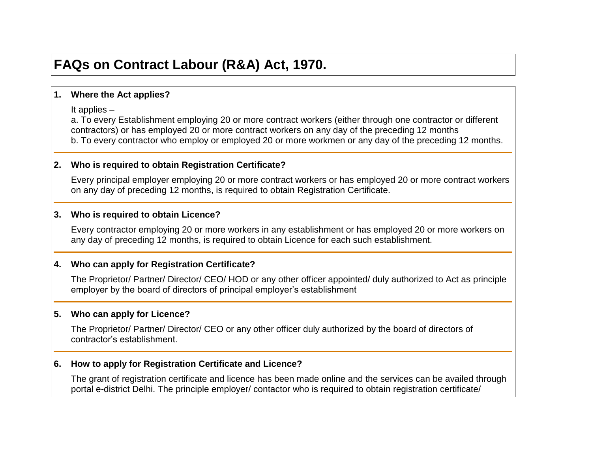# **FAQs on Contract Labour (R&A) Act, 1970.**

## **1. Where the Act applies?**

It applies –

a. To every Establishment employing 20 or more contract workers (either through one contractor or different contractors) or has employed 20 or more contract workers on any day of the preceding 12 months b. To every contractor who employ or employed 20 or more workmen or any day of the preceding 12 months.

## **2. Who is required to obtain Registration Certificate?**

Every principal employer employing 20 or more contract workers or has employed 20 or more contract workers on any day of preceding 12 months, is required to obtain Registration Certificate.

#### **3. Who is required to obtain Licence?**

Every contractor employing 20 or more workers in any establishment or has employed 20 or more workers on any day of preceding 12 months, is required to obtain Licence for each such establishment.

## **4. Who can apply for Registration Certificate?**

The Proprietor/ Partner/ Director/ CEO/ HOD or any other officer appointed/ duly authorized to Act as principle employer by the board of directors of principal employer's establishment

## **5. Who can apply for Licence?**

The Proprietor/ Partner/ Director/ CEO or any other officer duly authorized by the board of directors of contractor's establishment.

### **6. How to apply for Registration Certificate and Licence?**

The grant of registration certificate and licence has been made online and the services can be availed through portal e-district Delhi. The principle employer/ contactor who is required to obtain registration certificate/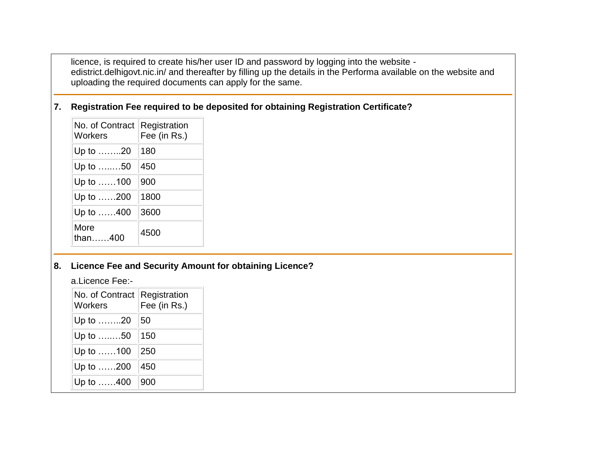licence, is required to create his/her user ID and password by logging into the website edistrict.delhigovt.nic.in/ and thereafter by filling up the details in the Performa available on the website and uploading the required documents can apply for the same.

## **7. Registration Fee required to be deposited for obtaining Registration Certificate?**

| No. of Contract<br>Workers | Registration<br>Fee (in Rs.) |
|----------------------------|------------------------------|
| Up to ……20                 | 180                          |
| Up to ……50                 | 450                          |
| Up to 100                  | 900                          |
| Up to 200                  | 1800                         |
| Up to 400                  | 3600                         |
| More<br>than400            | 4500                         |

## **8. Licence Fee and Security Amount for obtaining Licence?**

a.Licence Fee:-

| No. of Contract<br><b>Workers</b> | Registration<br>Fee (in Rs.) |  |
|-----------------------------------|------------------------------|--|
| Up to ……20                        | 50                           |  |
| Up to ……50                        | 150                          |  |
| Up to ……100                       | 250                          |  |
| Up to 200                         | 450                          |  |
| Up to 400                         | 900                          |  |